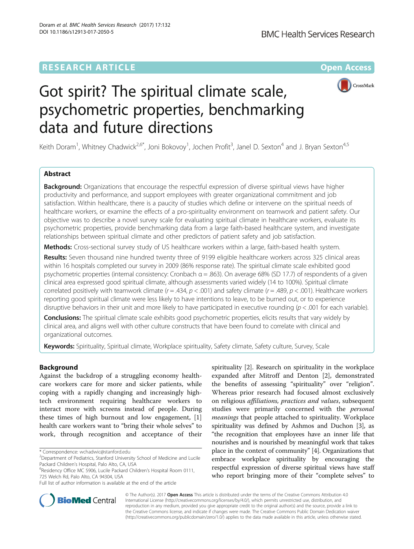## **RESEARCH ARTICLE External Structure Community Community Community Community Community Community Community Community**



# Got spirit? The spiritual climate scale, psychometric properties, benchmarking data and future directions

Keith Doram<sup>1</sup>, Whitney Chadwick<sup>2,6\*</sup>, Joni Bokovoy<sup>1</sup>, Jochen Profit<sup>3</sup>, Janel D. Sexton<sup>4</sup> and J. Bryan Sexton<sup>4,5</sup>

## Abstract

**Background:** Organizations that encourage the respectful expression of diverse spiritual views have higher productivity and performance, and support employees with greater organizational commitment and job satisfaction. Within healthcare, there is a paucity of studies which define or intervene on the spiritual needs of healthcare workers, or examine the effects of a pro-spirituality environment on teamwork and patient safety. Our objective was to describe a novel survey scale for evaluating spiritual climate in healthcare workers, evaluate its psychometric properties, provide benchmarking data from a large faith-based healthcare system, and investigate relationships between spiritual climate and other predictors of patient safety and job satisfaction.

Methods: Cross-sectional survey study of US healthcare workers within a large, faith-based health system.

Results: Seven thousand nine hundred twenty three of 9199 eligible healthcare workers across 325 clinical areas within 16 hospitals completed our survey in 2009 (86% response rate). The spiritual climate scale exhibited good psychometric properties (internal consistency: Cronbach α = .863). On average 68% (SD 17.7) of respondents of a given clinical area expressed good spiritual climate, although assessments varied widely (14 to 100%). Spiritual climate correlated positively with teamwork climate  $(r = .434, p < .001)$  and safety climate  $(r = .489, p < .001)$ . Healthcare workers reporting good spiritual climate were less likely to have intentions to leave, to be burned out, or to experience disruptive behaviors in their unit and more likely to have participated in executive rounding ( $p < .001$  for each variable).

Conclusions: The spiritual climate scale exhibits good psychometric properties, elicits results that vary widely by clinical area, and aligns well with other culture constructs that have been found to correlate with clinical and organizational outcomes.

Keywords: Spirituality, Spiritual climate, Workplace spirituality, Safety climate, Safety culture, Survey, Scale

## Background

Against the backdrop of a struggling economy healthcare workers care for more and sicker patients, while coping with a rapidly changing and increasingly hightech environment requiring healthcare workers to interact more with screens instead of people. During these times of high burnout and low engagement, [\[1](#page-6-0)] health care workers want to "bring their whole selves" to work, through recognition and acceptance of their

spirituality [[2\]](#page-6-0). Research on spirituality in the workplace expanded after Mitroff and Denton [[2\]](#page-6-0), demonstrated the benefits of assessing "spirituality" over "religion". Whereas prior research had focused almost exclusively on religious affiliations, practices and values, subsequent studies were primarily concerned with the *personal* meanings that people attached to spirituality. Workplace spirituality was defined by Ashmos and Duchon [[3\]](#page-6-0), as "the recognition that employees have an inner life that nourishes and is nourished by meaningful work that takes place in the context of community" [[4](#page-6-0)]. Organizations that embrace workplace spirituality by encouraging the respectful expression of diverse spiritual views have staff who report bringing more of their "complete selves" to



© The Author(s). 2017 **Open Access** This article is distributed under the terms of the Creative Commons Attribution 4.0 International License [\(http://creativecommons.org/licenses/by/4.0/](http://creativecommons.org/licenses/by/4.0/)), which permits unrestricted use, distribution, and reproduction in any medium, provided you give appropriate credit to the original author(s) and the source, provide a link to the Creative Commons license, and indicate if changes were made. The Creative Commons Public Domain Dedication waiver [\(http://creativecommons.org/publicdomain/zero/1.0/](http://creativecommons.org/publicdomain/zero/1.0/)) applies to the data made available in this article, unless otherwise stated.

<sup>\*</sup> Correspondence: [wchadwic@stanford.edu](mailto:wchadwic@stanford.edu) <sup>2</sup>

<sup>&</sup>lt;sup>2</sup>Department of Pediatrics, Stanford University School of Medicine and Lucile Packard Children's Hospital, Palo Alto, CA, USA

Residency Office MC 5906, Lucile Packard Children's Hospital Room 0111, 725 Welch Rd, Palo Alto, CA 94304, USA

Full list of author information is available at the end of the article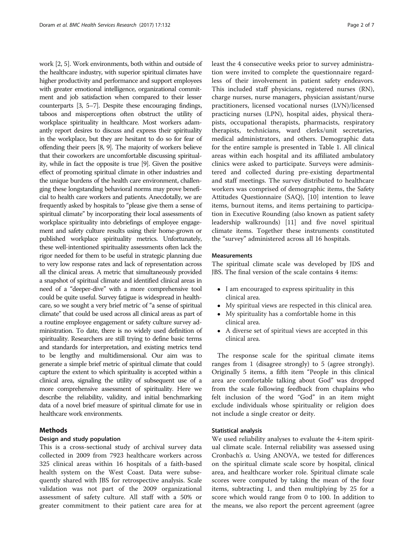work [[2](#page-6-0), [5](#page-6-0)]. Work environments, both within and outside of the healthcare industry, with superior spiritual climates have higher productivity and performance and support employees with greater emotional intelligence, organizational commitment and job satisfaction when compared to their lesser counterparts [\[3, 5](#page-6-0)–[7\]](#page-6-0). Despite these encouraging findings, taboos and misperceptions often obstruct the utility of workplace spirituality in healthcare. Most workers adamantly report desires to discuss and express their spirituality in the workplace, but they are hesitant to do so for fear of offending their peers [\[8](#page-6-0), [9\]](#page-6-0). The majority of workers believe that their coworkers are uncomfortable discussing spirituality, while in fact the opposite is true [\[9\]](#page-6-0). Given the positive effect of promoting spiritual climate in other industries and the unique burdens of the health care environment, challenging these longstanding behavioral norms may prove beneficial to health care workers and patients. Anecdotally, we are frequently asked by hospitals to "please give them a sense of spiritual climate" by incorporating their local assessments of workplace spirituality into debriefings of employee engagement and safety culture results using their home-grown or published workplace spirituality metrics. Unfortunately, these well-intentioned spirituality assessments often lack the rigor needed for them to be useful in strategic planning due to very low response rates and lack of representation across all the clinical areas. A metric that simultaneously provided a snapshot of spiritual climate and identified clinical areas in need of a "deeper-dive" with a more comprehensive tool could be quite useful. Survey fatigue is widespread in healthcare, so we sought a very brief metric of "a sense of spiritual climate" that could be used across all clinical areas as part of a routine employee engagement or safety culture survey administration. To date, there is no widely used definition of spirituality. Researchers are still trying to define basic terms and standards for interpretation, and existing metrics tend to be lengthy and multidimensional. Our aim was to generate a simple brief metric of spiritual climate that could capture the extent to which spirituality is accepted within a clinical area, signaling the utility of subsequent use of a more comprehensive assessment of spirituality. Here we describe the reliability, validity, and initial benchmarking data of a novel brief measure of spiritual climate for use in healthcare work environments.

### Methods

#### Design and study population

This is a cross-sectional study of archival survey data collected in 2009 from 7923 healthcare workers across 325 clinical areas within 16 hospitals of a faith-based health system on the West Coast. Data were subsequently shared with JBS for retrospective analysis. Scale validation was not part of the 2009 organizational assessment of safety culture. All staff with a 50% or greater commitment to their patient care area for at least the 4 consecutive weeks prior to survey administration were invited to complete the questionnaire regardless of their involvement in patient safety endeavors. This included staff physicians, registered nurses (RN), charge nurses, nurse managers, physician assistant/nurse practitioners, licensed vocational nurses (LVN)/licensed practicing nurses (LPN), hospital aides, physical therapists, occupational therapists, pharmacists, respiratory therapists, technicians, ward clerks/unit secretaries, medical administrators, and others. Demographic data for the entire sample is presented in Table [1.](#page-2-0) All clinical areas within each hospital and its affiliated ambulatory clinics were asked to participate. Surveys were administered and collected during pre-existing departmental and staff meetings. The survey distributed to healthcare workers was comprised of demographic items, the Safety Attitudes Questionnaire (SAQ), [[10\]](#page-6-0) intention to leave items, burnout items, and items pertaining to participation in Executive Rounding (also known as patient safety leadership walkrounds) [[11](#page-6-0)] and five novel spiritual climate items. Together these instruments constituted the "survey" administered across all 16 hospitals.

#### **Measurements**

The spiritual climate scale was developed by JDS and JBS. The final version of the scale contains 4 items:

- I am encouraged to express spirituality in this clinical area.
- My spiritual views are respected in this clinical area.
- My spirituality has a comfortable home in this clinical area.
- A diverse set of spiritual views are accepted in this clinical area.

The response scale for the spiritual climate items ranges from 1 (disagree strongly) to 5 (agree strongly). Originally 5 items, a fifth item "People in this clinical area are comfortable talking about God" was dropped from the scale following feedback from chaplains who felt inclusion of the word "God" in an item might exclude individuals whose spirituality or religion does not include a single creator or deity.

#### Statistical analysis

We used reliability analyses to evaluate the 4-item spiritual climate scale. Internal reliability was assessed using Cronbach's α. Using ANOVA, we tested for differences on the spiritual climate scale score by hospital, clinical area, and healthcare worker role. Spiritual climate scale scores were computed by taking the mean of the four items, subtracting 1, and then multiplying by 25 for a score which would range from 0 to 100. In addition to the means, we also report the percent agreement (agree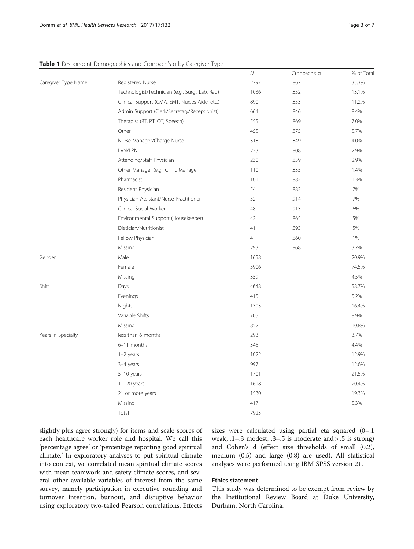<span id="page-2-0"></span>

|  | Table 1 Respondent Demographics and Cronbach's a by Caregiver Type |  |  |  |  |
|--|--------------------------------------------------------------------|--|--|--|--|
|  |                                                                    |  |  |  |  |

|                     |                                                 | ${\cal N}$     | Cronbach's a | % of Total |
|---------------------|-------------------------------------------------|----------------|--------------|------------|
| Caregiver Type Name | Registered Nurse                                | 2797           | .867         | 35.3%      |
|                     | Technologist/Technician (e.g., Surg., Lab, Rad) | 1036           | .852         | 13.1%      |
|                     | Clinical Support (CMA, EMT, Nurses Aide, etc.)  | 890            | .853         | 11.2%      |
|                     | Admin Support (Clerk/Secretary/Receptionist)    | 664            | .846         | 8.4%       |
|                     | Therapist (RT, PT, OT, Speech)                  | 555            | .869         | 7.0%       |
|                     | Other                                           | 455            | .875         | 5.7%       |
|                     | Nurse Manager/Charge Nurse                      | 318            | .849         | 4.0%       |
|                     | LVN/LPN                                         | 233            | .808         | 2.9%       |
|                     | Attending/Staff Physician                       | 230            | .859         | 2.9%       |
|                     | Other Manager (e.g., Clinic Manager)            | 110            | .835         | 1.4%       |
|                     | Pharmacist                                      | 101            | .882         | 1.3%       |
|                     | Resident Physician                              | 54             | .882         | .7%        |
|                     | Physician Assistant/Nurse Practitioner          | 52             | .914         | .7%        |
|                     | Clinical Social Worker                          | 48             | .913         | .6%        |
|                     | Environmental Support (Housekeeper)             | 42             | .865         | .5%        |
|                     | Dietician/Nutritionist                          | 41             | .893         | .5%        |
|                     | Fellow Physician                                | $\overline{4}$ | .860         | .1%        |
|                     | Missing                                         | 293            | .868         | 3.7%       |
| Gender              | Male                                            | 1658           |              | 20.9%      |
|                     | Female                                          | 5906           |              | 74.5%      |
|                     | Missing                                         | 359            |              | 4.5%       |
| Shift               | Days                                            | 4648           |              | 58.7%      |
|                     | Evenings                                        | 415            |              | 5.2%       |
|                     | Nights                                          | 1303           |              | 16.4%      |
|                     | Variable Shifts                                 | 705            |              | 8.9%       |
|                     | Missing                                         | 852            |              | 10.8%      |
| Years in Specialty  | less than 6 months                              | 293            |              | 3.7%       |
|                     | 6-11 months                                     | 345            |              | 4.4%       |
|                     | $1-2$ years                                     | 1022           |              | 12.9%      |
|                     | 3-4 years                                       | 997            |              | 12.6%      |
|                     | $5-10$ years                                    | 1701           |              | 21.5%      |
|                     | $11-20$ years                                   | 1618           |              | 20.4%      |
|                     | 21 or more years                                | 1530           |              | 19.3%      |
|                     | Missing                                         | 417            |              | 5.3%       |
|                     | Total                                           | 7923           |              |            |

slightly plus agree strongly) for items and scale scores of each healthcare worker role and hospital. We call this 'percentage agree' or 'percentage reporting good spiritual climate.' In exploratory analyses to put spiritual climate into context, we correlated mean spiritual climate scores with mean teamwork and safety climate scores, and several other available variables of interest from the same survey, namely participation in executive rounding and turnover intention, burnout, and disruptive behavior using exploratory two-tailed Pearson correlations. Effects

sizes were calculated using partial eta squared (0–.1 weak, .1–.3 modest, .3–.5 is moderate and > .5 is strong) and Cohen's d (effect size thresholds of small (0.2), medium (0.5) and large (0.8) are used). All statistical analyses were performed using IBM SPSS version 21.

#### Ethics statement

This study was determined to be exempt from review by the Institutional Review Board at Duke University, Durham, North Carolina.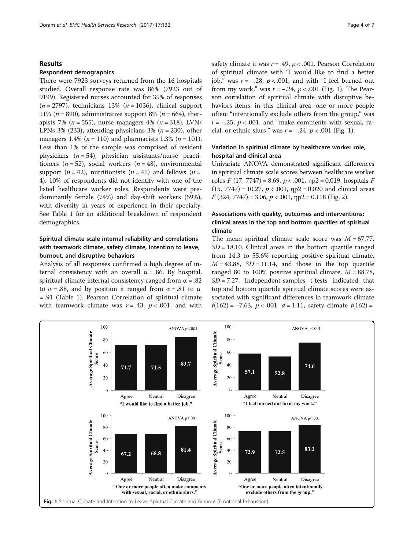#### Results

#### Respondent demographics

There were 7923 surveys returned from the 16 hospitals studied. Overall response rate was 86% (7923 out of 9199). Registered nurses accounted for 35% of responses  $(n = 2797)$ , technicians 13%  $(n = 1036)$ , clinical support 11% ( $n = 890$ ), administrative support 8% ( $n = 664$ ), therapists 7% (n = 555), nurse managers 4% (n = 318), LVN/ LPNs 3% (233), attending physicians 3% ( $n = 230$ ), other managers 1.4% ( $n = 110$ ) and pharmacists 1.3% ( $n = 101$ ). Less than 1% of the sample was comprised of resident physicians  $(n = 54)$ , physician assistants/nurse practitioners ( $n = 52$ ), social workers ( $n = 48$ ), environmental support  $(n = 42)$ , nutritionists  $(n = 41)$  and fellows  $(n = 12)$ 4). 10% of respondents did not identify with one of the listed healthcare worker roles. Respondents were predominantly female (74%) and day-shift workers (59%), with diversity in years of experience in their specialty. See Table [1](#page-2-0) for an additional breakdown of respondent demographics.

## Spiritual climate scale internal reliability and correlations with teamwork climate, safety climate, intention to leave, burnout, and disruptive behaviors

Analysis of all responses confirmed a high degree of internal consistency with an overall  $\alpha$  = .86. By hospital, spiritual climate internal consistency ranged from  $\alpha = .82$ to  $\alpha = .88$ , and by position it ranged from  $\alpha = .81$  to  $\alpha$ = .91 (Table [1\)](#page-2-0). Pearson Correlation of spiritual climate with teamwork climate was  $r = .43$ ,  $p < .001$ ; and with safety climate it was  $r = .49$ ,  $p < .001$ . Pearson Correlation of spiritual climate with "I would like to find a better job," was  $r = -.28$ ,  $p < .001$ , and with "I feel burned out from my work," was  $r = -.24$ ,  $p < .001$  (Fig. 1). The Pearson correlation of spiritual climate with disruptive behaviors items: in this clinical area, one or more people often: "intentionally exclude others from the group," was  $r = -0.25$ ,  $p < 0.001$ , and "make comments with sexual, racial, or ethnic slurs," was  $r = -.24$ ,  $p < .001$  (Fig. 1).

## Variation in spiritual climate by healthcare worker role, hospital and clinical area

Univariate ANOVA demonstrated significant differences in spiritual climate scale scores between healthcare worker roles  $F(17, 7747) = 8.69$ ,  $p < .001$ ,  $np2 = 0.019$ , hospitals  $F$  $(15, 7747) = 10.27$ ,  $p < .001$ ,  $np2 = 0.020$  and clinical areas  $F(324, 7747) = 3.06, p < .001, \eta p2 = 0.118$  (Fig. [2](#page-4-0)).

## Associations with quality, outcomes and interventions: clinical areas in the top and bottom quartiles of spiritual climate

The mean spiritual climate scale score was  $M = 67.77$ ,  $SD = 18.10$ . Clinical areas in the bottom quartile ranged from 14.3 to 55.6% reporting positive spiritual climate,  $M = 43.88$ ,  $SD = 11.14$ , and those in the top quartile ranged 80 to 100% positive spiritual climate,  $M = 88.78$ ,  $SD = 7.27$ . Independent-samples t-tests indicated that top and bottom quartile spiritual climate scores were associated with significant differences in teamwork climate  $t(162) = -7.63$ ,  $p < .001$ ,  $d = 1.11$ , safety climate  $t(162) =$ 

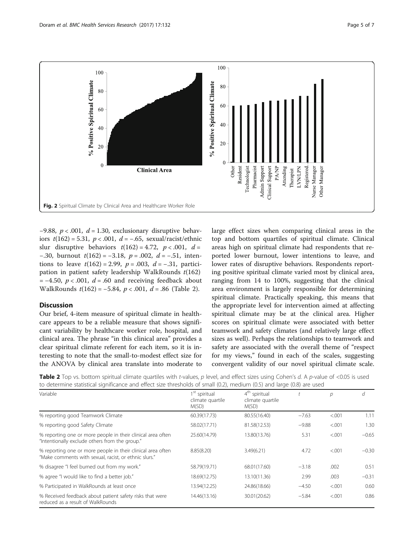<span id="page-4-0"></span>

 $-9.88$ ,  $p < .001$ ,  $d = 1.30$ , exclusionary disruptive behaviors  $t(162) = 5.31$ ,  $p < .001$ ,  $d = -.65$ , sexual/racist/ethnic slur disruptive behaviors  $t(162) = 4.72$ ,  $p < .001$ ,  $d =$ −.30, burnout  $t(162) = -3.18$ ,  $p = .002$ ,  $d = -.51$ , intentions to leave  $t(162) = 2.99$ ,  $p = .003$ ,  $d = -.31$ , participation in patient safety leadership WalkRounds  $t(162)$  $= -4.50$ ,  $p < .001$ ,  $d = .60$  and receiving feedback about WalkRounds  $t(162) = -5.84$ ,  $p < .001$ ,  $d = .86$  (Table 2).

#### **Discussion**

Our brief, 4-item measure of spiritual climate in healthcare appears to be a reliable measure that shows significant variability by healthcare worker role, hospital, and clinical area. The phrase "in this clinical area" provides a clear spiritual climate referent for each item, so it is interesting to note that the small-to-modest effect size for the ANOVA by clinical area translate into moderate to large effect sizes when comparing clinical areas in the top and bottom quartiles of spiritual climate. Clinical areas high on spiritual climate had respondents that reported lower burnout, lower intentions to leave, and lower rates of disruptive behaviors. Respondents reporting positive spiritual climate varied most by clinical area, ranging from 14 to 100%, suggesting that the clinical area environment is largely responsible for determining spiritual climate. Practically speaking, this means that the appropriate level for intervention aimed at affecting spiritual climate may be at the clinical area. Higher scores on spiritual climate were associated with better teamwork and safety climates (and relatively large effect sizes as well). Perhaps the relationships to teamwork and safety are associated with the overall theme of "respect for my views," found in each of the scales, suggesting convergent validity of our novel spiritual climate scale.

| Table 2 Top vs. bottom spiritual climate quartiles with t-values, p level, and effect sizes using Cohen's d. A p-value of <0.05 is used |  |
|-----------------------------------------------------------------------------------------------------------------------------------------|--|
| to determine statistical significance and effect size thresholds of small (0.2), medium (0.5) and large (0.8) are used                  |  |

| Variable                                                                                                             | 1 <sup>st</sup> spiritual<br>climate quartile<br>M(SD) | 4 <sup>th</sup> spiritual<br>climate quartile<br>M(SD) |         | D       | п       |
|----------------------------------------------------------------------------------------------------------------------|--------------------------------------------------------|--------------------------------------------------------|---------|---------|---------|
| % reporting good Teamwork Climate                                                                                    | 60.39(17.73)                                           | 80.55(16.40)                                           | $-7.63$ | < .001  | 1.11    |
| % reporting good Safety Climate                                                                                      | 58.02(17.71)                                           | 81.58(12.53)                                           | $-9.88$ | < .001  | 1.30    |
| % reporting one or more people in their clinical area often<br>"Intentionally exclude others from the group."        | 25.60(14.79)                                           | 13.80(13.76)                                           | 5.31    | < 0.001 | $-0.65$ |
| % reporting one or more people in their clinical area often<br>"Make comments with sexual, racist, or ethnic slurs." | 8.85(8.20)                                             | 3.49(6.21)                                             | 4.72    | < 0.001 | $-0.30$ |
| % disagree "I feel burned out from my work."                                                                         | 58.79(19.71)                                           | 68.01(17.60)                                           | $-3.18$ | .002    | 0.51    |
| % agree "I would like to find a better job."                                                                         | 18.69(12.75)                                           | 13.10(11.36)                                           | 2.99    | .003    | $-0.31$ |
| % Participated in WalkRounds at least once                                                                           | 13.94(12.25)                                           | 24.86(18.66)                                           | $-4.50$ | < .001  | 0.60    |
| % Received feedback about patient safety risks that were<br>reduced as a result of WalkRounds                        | 14.46(13.16)                                           | 30.01(20.62)                                           | $-5.84$ | < .001  | 0.86    |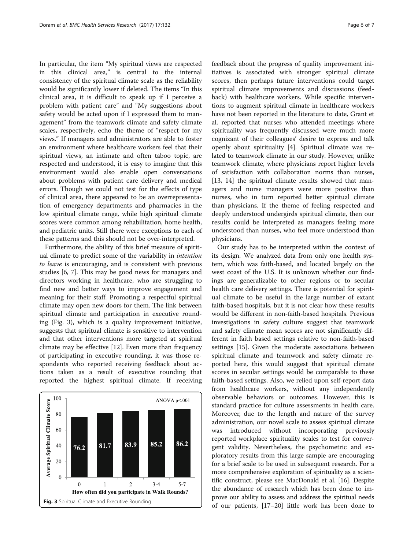In particular, the item "My spiritual views are respected in this clinical area," is central to the internal consistency of the spiritual climate scale as the reliability would be significantly lower if deleted. The items "In this clinical area, it is difficult to speak up if I perceive a problem with patient care" and "My suggestions about safety would be acted upon if I expressed them to management" from the teamwork climate and safety climate scales, respectively, echo the theme of "respect for my views." If managers and administrators are able to foster an environment where healthcare workers feel that their spiritual views, an intimate and often taboo topic, are respected and understood, it is easy to imagine that this environment would also enable open conversations about problems with patient care delivery and medical errors. Though we could not test for the effects of type of clinical area, there appeared to be an overrepresentation of emergency departments and pharmacies in the low spiritual climate range, while high spiritual climate scores were common among rehabilitation, home health, and pediatric units. Still there were exceptions to each of these patterns and this should not be over-interpreted.

Furthermore, the ability of this brief measure of spiritual climate to predict some of the variability in intention to leave is encouraging, and is consistent with previous studies [[6](#page-6-0), [7\]](#page-6-0). This may be good news for managers and directors working in healthcare, who are struggling to find new and better ways to improve engagement and meaning for their staff. Promoting a respectful spiritual climate may open new doors for them. The link between spiritual climate and participation in executive rounding (Fig. 3), which is a quality improvement initiative, suggests that spiritual climate is sensitive to intervention and that other interventions more targeted at spiritual climate may be effective [[12\]](#page-6-0). Even more than frequency of participating in executive rounding, it was those respondents who reported receiving feedback about actions taken as a result of executive rounding that reported the highest spiritual climate. If receiving



feedback about the progress of quality improvement initiatives is associated with stronger spiritual climate scores, then perhaps future interventions could target spiritual climate improvements and discussions (feedback) with healthcare workers. While specific interventions to augment spiritual climate in healthcare workers have not been reported in the literature to date, Grant et al. reported that nurses who attended meetings where spirituality was frequently discussed were much more cognizant of their colleagues' desire to express and talk openly about spirituality [[4\]](#page-6-0). Spiritual climate was related to teamwork climate in our study. However, unlike teamwork climate, where physicians report higher levels of satisfaction with collaboration norms than nurses, [[13, 14](#page-6-0)] the spiritual climate results showed that managers and nurse managers were more positive than nurses, who in turn reported better spiritual climate than physicians. If the theme of feeling respected and deeply understood undergirds spiritual climate, then our

results could be interpreted as managers feeling more understood than nurses, who feel more understood than

physicians. Our study has to be interpreted within the context of its design. We analyzed data from only one health system, which was faith-based, and located largely on the west coast of the U.S. It is unknown whether our findings are generalizable to other regions or to secular health care delivery settings. There is potential for spiritual climate to be useful in the large number of extant faith-based hospitals, but it is not clear how these results would be different in non-faith-based hospitals. Previous investigations in safety culture suggest that teamwork and safety climate mean scores are not significantly different in faith based settings relative to non-faith-based settings [\[15](#page-6-0)]. Given the moderate associations between spiritual climate and teamwork and safety climate reported here, this would suggest that spiritual climate scores in secular settings would be comparable to these faith-based settings. Also, we relied upon self-report data from healthcare workers, without any independently observable behaviors or outcomes. However, this is standard practice for culture assessments in health care. Moreover, due to the length and nature of the survey administration, our novel scale to assess spiritual climate was introduced without incorporating previously reported workplace spirituality scales to test for convergent validity. Nevertheless, the psychometric and exploratory results from this large sample are encouraging for a brief scale to be used in subsequent research. For a more comprehensive exploration of spirituality as a scientific construct, please see MacDonald et al. [[16](#page-6-0)]. Despite the abundance of research which has been done to improve our ability to assess and address the spiritual needs